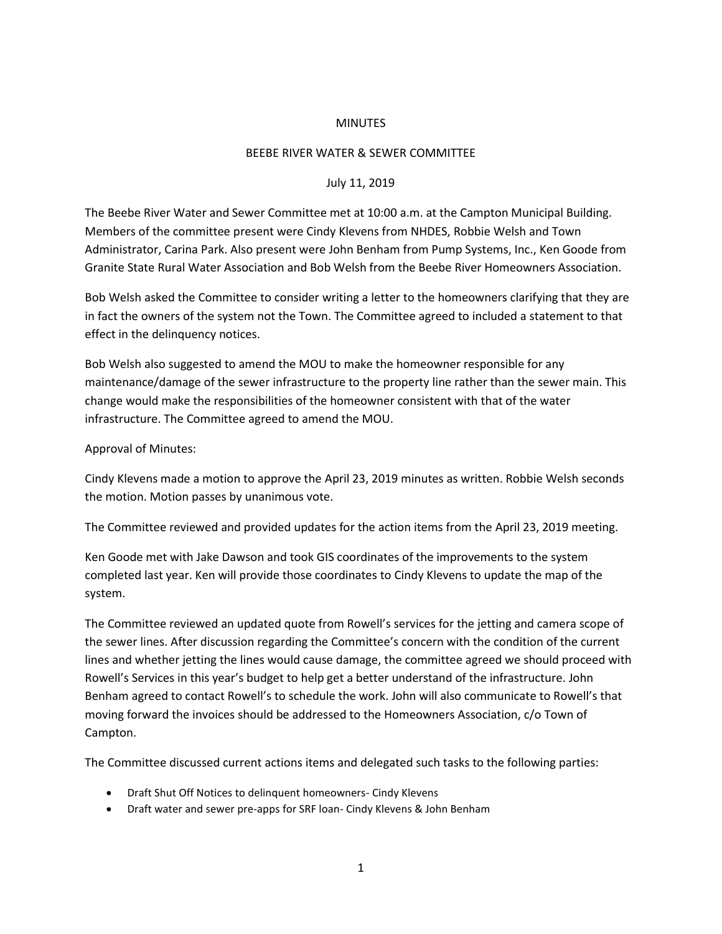## **MINUTES**

## BEEBE RIVER WATER & SEWER COMMITTEE

## July 11, 2019

The Beebe River Water and Sewer Committee met at 10:00 a.m. at the Campton Municipal Building. Members of the committee present were Cindy Klevens from NHDES, Robbie Welsh and Town Administrator, Carina Park. Also present were John Benham from Pump Systems, Inc., Ken Goode from Granite State Rural Water Association and Bob Welsh from the Beebe River Homeowners Association.

Bob Welsh asked the Committee to consider writing a letter to the homeowners clarifying that they are in fact the owners of the system not the Town. The Committee agreed to included a statement to that effect in the delinquency notices.

Bob Welsh also suggested to amend the MOU to make the homeowner responsible for any maintenance/damage of the sewer infrastructure to the property line rather than the sewer main. This change would make the responsibilities of the homeowner consistent with that of the water infrastructure. The Committee agreed to amend the MOU.

## Approval of Minutes:

Cindy Klevens made a motion to approve the April 23, 2019 minutes as written. Robbie Welsh seconds the motion. Motion passes by unanimous vote.

The Committee reviewed and provided updates for the action items from the April 23, 2019 meeting.

Ken Goode met with Jake Dawson and took GIS coordinates of the improvements to the system completed last year. Ken will provide those coordinates to Cindy Klevens to update the map of the system.

The Committee reviewed an updated quote from Rowell's services for the jetting and camera scope of the sewer lines. After discussion regarding the Committee's concern with the condition of the current lines and whether jetting the lines would cause damage, the committee agreed we should proceed with Rowell's Services in this year's budget to help get a better understand of the infrastructure. John Benham agreed to contact Rowell's to schedule the work. John will also communicate to Rowell's that moving forward the invoices should be addressed to the Homeowners Association, c/o Town of Campton.

The Committee discussed current actions items and delegated such tasks to the following parties:

- Draft Shut Off Notices to delinquent homeowners- Cindy Klevens
- Draft water and sewer pre-apps for SRF loan- Cindy Klevens & John Benham